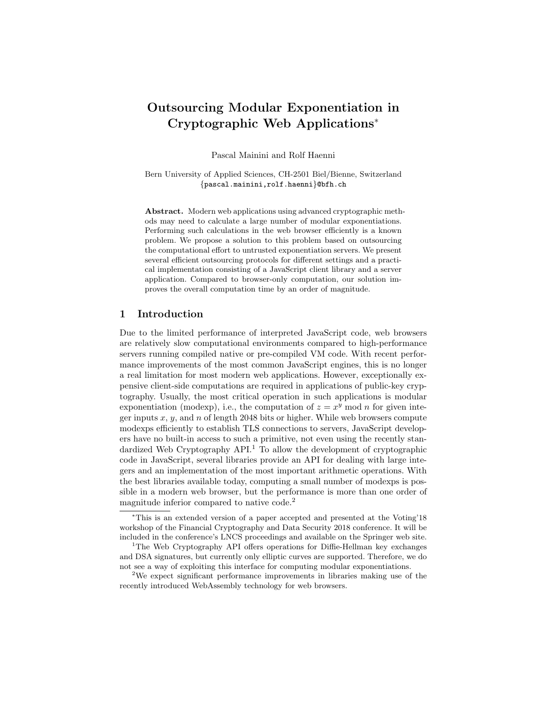# Outsourcing Modular Exponentiation in Cryptographic Web Applications<sup>∗</sup>

Pascal Mainini and Rolf Haenni

Bern University of Applied Sciences, CH-2501 Biel/Bienne, Switzerland {pascal.mainini,rolf.haenni}@bfh.ch

Abstract. Modern web applications using advanced cryptographic methods may need to calculate a large number of modular exponentiations. Performing such calculations in the web browser efficiently is a known problem. We propose a solution to this problem based on outsourcing the computational effort to untrusted exponentiation servers. We present several efficient outsourcing protocols for different settings and a practical implementation consisting of a JavaScript client library and a server application. Compared to browser-only computation, our solution improves the overall computation time by an order of magnitude.

## <span id="page-0-0"></span>1 Introduction

Due to the limited performance of interpreted JavaScript code, web browsers are relatively slow computational environments compared to high-performance servers running compiled native or pre-compiled VM code. With recent performance improvements of the most common JavaScript engines, this is no longer a real limitation for most modern web applications. However, exceptionally expensive client-side computations are required in applications of public-key cryptography. Usually, the most critical operation in such applications is modular exponentiation (modexp), i.e., the computation of  $z = x^y$  mod n for given integer inputs  $x, y$ , and n of length 2048 bits or higher. While web browsers compute modexps efficiently to establish TLS connections to servers, JavaScript developers have no built-in access to such a primitive, not even using the recently standardized Web Cryptography API.<sup>1</sup> To allow the development of cryptographic code in JavaScript, several libraries provide an API for dealing with large integers and an implementation of the most important arithmetic operations. With the best libraries available today, computing a small number of modexps is possible in a modern web browser, but the performance is more than one order of magnitude inferior compared to native code.<sup>2</sup>

<sup>∗</sup>This is an extended version of a paper accepted and presented at the Voting'18 workshop of the Financial Cryptography and Data Security 2018 conference. It will be included in the conference's LNCS proceedings and available on the Springer web site.

<sup>&</sup>lt;sup>1</sup>The Web Cryptography API offers operations for Diffie-Hellman key exchanges and DSA signatures, but currently only elliptic curves are supported. Therefore, we do not see a way of exploiting this interface for computing modular exponentiations.

<sup>&</sup>lt;sup>2</sup>We expect significant performance improvements in libraries making use of the recently introduced WebAssembly technology for web browsers.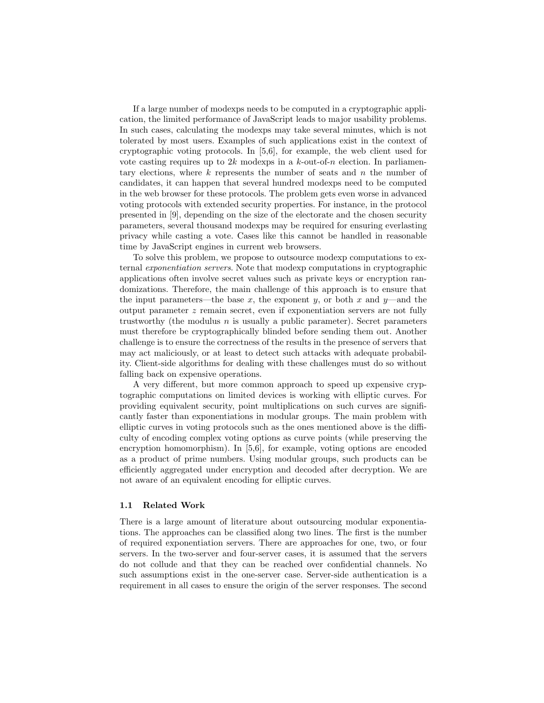If a large number of modexps needs to be computed in a cryptographic application, the limited performance of JavaScript leads to major usability problems. In such cases, calculating the modexps may take several minutes, which is not tolerated by most users. Examples of such applications exist in the context of cryptographic voting protocols. In [\[5](#page-14-0)[,6\]](#page-14-1), for example, the web client used for vote casting requires up to  $2k$  modexps in a k-out-of-n election. In parliamentary elections, where k represents the number of seats and  $n$  the number of candidates, it can happen that several hundred modexps need to be computed in the web browser for these protocols. The problem gets even worse in advanced voting protocols with extended security properties. For instance, in the protocol presented in [\[9\]](#page-15-0), depending on the size of the electorate and the chosen security parameters, several thousand modexps may be required for ensuring everlasting privacy while casting a vote. Cases like this cannot be handled in reasonable time by JavaScript engines in current web browsers.

To solve this problem, we propose to outsource modexp computations to external exponentiation servers. Note that modexp computations in cryptographic applications often involve secret values such as private keys or encryption randomizations. Therefore, the main challenge of this approach is to ensure that the input parameters—the base x, the exponent y, or both x and y—and the output parameter  $z$  remain secret, even if exponentiation servers are not fully trustworthy (the modulus  $n$  is usually a public parameter). Secret parameters must therefore be cryptographically blinded before sending them out. Another challenge is to ensure the correctness of the results in the presence of servers that may act maliciously, or at least to detect such attacks with adequate probability. Client-side algorithms for dealing with these challenges must do so without falling back on expensive operations.

A very different, but more common approach to speed up expensive cryptographic computations on limited devices is working with elliptic curves. For providing equivalent security, point multiplications on such curves are significantly faster than exponentiations in modular groups. The main problem with elliptic curves in voting protocols such as the ones mentioned above is the difficulty of encoding complex voting options as curve points (while preserving the encryption homomorphism). In [\[5](#page-14-0)[,6\]](#page-14-1), for example, voting options are encoded as a product of prime numbers. Using modular groups, such products can be efficiently aggregated under encryption and decoded after decryption. We are not aware of an equivalent encoding for elliptic curves.

#### 1.1 Related Work

There is a large amount of literature about outsourcing modular exponentiations. The approaches can be classified along two lines. The first is the number of required exponentiation servers. There are approaches for one, two, or four servers. In the two-server and four-server cases, it is assumed that the servers do not collude and that they can be reached over confidential channels. No such assumptions exist in the one-server case. Server-side authentication is a requirement in all cases to ensure the origin of the server responses. The second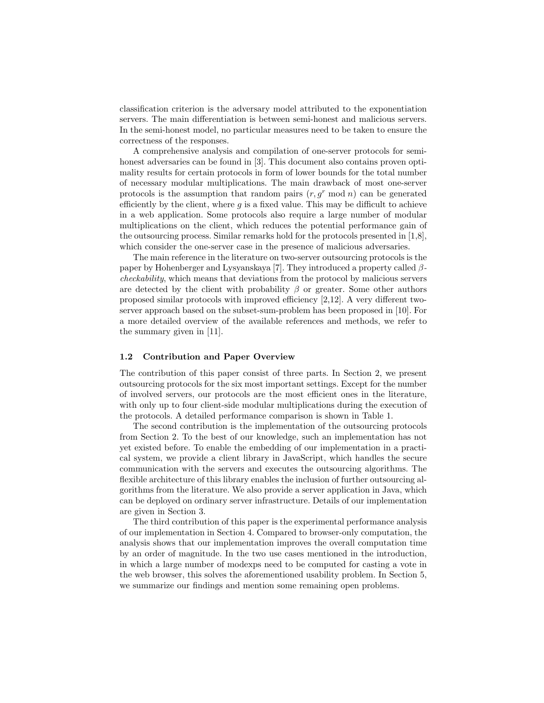classification criterion is the adversary model attributed to the exponentiation servers. The main differentiation is between semi-honest and malicious servers. In the semi-honest model, no particular measures need to be taken to ensure the correctness of the responses.

A comprehensive analysis and compilation of one-server protocols for semi-honest adversaries can be found in [\[3\]](#page-14-2). This document also contains proven optimality results for certain protocols in form of lower bounds for the total number of necessary modular multiplications. The main drawback of most one-server protocols is the assumption that random pairs  $(r, g<sup>r</sup> \mod n)$  can be generated efficiently by the client, where  $q$  is a fixed value. This may be difficult to achieve in a web application. Some protocols also require a large number of modular multiplications on the client, which reduces the potential performance gain of the outsourcing process. Similar remarks hold for the protocols presented in [\[1,](#page-14-3)[8\]](#page-15-1), which consider the one-server case in the presence of malicious adversaries.

The main reference in the literature on two-server outsourcing protocols is the paper by Hohenberger and Lysyanskaya [\[7\]](#page-15-2). They introduced a property called  $\beta$ checkability, which means that deviations from the protocol by malicious servers are detected by the client with probability  $\beta$  or greater. Some other authors proposed similar protocols with improved efficiency [\[2,](#page-14-4)[12\]](#page-15-3). A very different twoserver approach based on the subset-sum-problem has been proposed in [\[10\]](#page-15-4). For a more detailed overview of the available references and methods, we refer to the summary given in [\[11\]](#page-15-5).

#### 1.2 Contribution and Paper Overview

The contribution of this paper consist of three parts. In Section [2,](#page-3-0) we present outsourcing protocols for the six most important settings. Except for the number of involved servers, our protocols are the most efficient ones in the literature, with only up to four client-side modular multiplications during the execution of the protocols. A detailed performance comparison is shown in Table [1.](#page-3-1)

The second contribution is the implementation of the outsourcing protocols from Section [2.](#page-3-0) To the best of our knowledge, such an implementation has not yet existed before. To enable the embedding of our implementation in a practical system, we provide a client library in JavaScript, which handles the secure communication with the servers and executes the outsourcing algorithms. The flexible architecture of this library enables the inclusion of further outsourcing algorithms from the literature. We also provide a server application in Java, which can be deployed on ordinary server infrastructure. Details of our implementation are given in Section [3.](#page-7-0)

The third contribution of this paper is the experimental performance analysis of our implementation in Section [4.](#page-11-0) Compared to browser-only computation, the analysis shows that our implementation improves the overall computation time by an order of magnitude. In the two use cases mentioned in the introduction, in which a large number of modexps need to be computed for casting a vote in the web browser, this solves the aforementioned usability problem. In Section [5,](#page-13-0) we summarize our findings and mention some remaining open problems.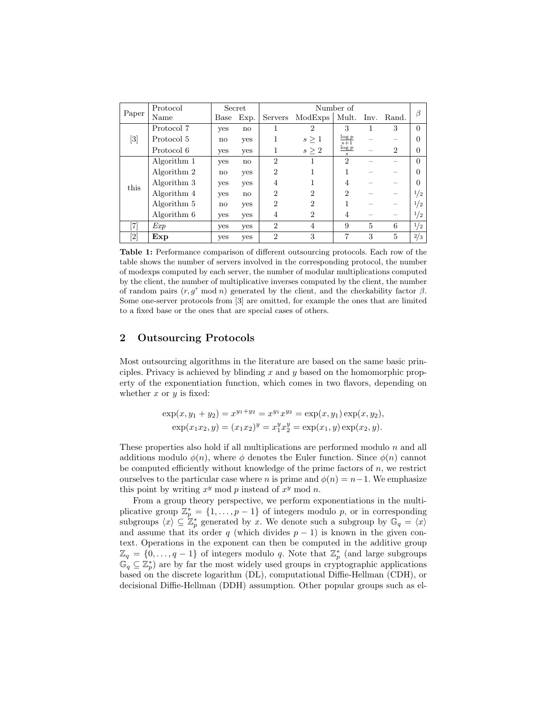<span id="page-3-1"></span>

|                                                                                                                                                            | Protocol    | Secret                 |                        | Number of      |                             |                                          |   |                |                  |
|------------------------------------------------------------------------------------------------------------------------------------------------------------|-------------|------------------------|------------------------|----------------|-----------------------------|------------------------------------------|---|----------------|------------------|
| Paper                                                                                                                                                      | Name        | Base                   | Exp.                   | Servers        | ModExps                     | Mult.                                    |   | Inv. Rand.     | β                |
|                                                                                                                                                            | Protocol 7  | <b>ves</b>             | $\mathbf{n}\mathbf{o}$ |                | $\overline{2}$              | 3                                        |   | 3              | $\Omega$         |
| $[3] % \includegraphics[width=0.9\columnwidth]{figures/fig_1a} \caption{Schematic diagram of the top of the top of the top of the right.} \label{fig:1} %$ | Protocol 5  | $\mathbf{n}\mathbf{o}$ | yes                    |                | $s\geq 1$                   | $\log p$<br>$s+1$                        |   |                | $\left( \right)$ |
|                                                                                                                                                            | Protocol 6  | <b>ves</b>             | yes                    |                | $s \geq 2$                  | $\frac{\log p}{\log p}$<br>$\mathcal{S}$ |   | $\overline{2}$ | $\left( \right)$ |
|                                                                                                                                                            | Algorithm 1 | yes                    | $\mathbf{n}$           | $\overline{2}$ |                             | $\mathcal{D}_{\mathcal{L}}$              |   |                | $\Omega$         |
|                                                                                                                                                            | Algorithm 2 | $\mathbf{n}\mathbf{o}$ | yes                    | $\overline{2}$ |                             |                                          |   |                | 0                |
| this                                                                                                                                                       | Algorithm 3 | yes                    | yes                    | 4              |                             | 4                                        |   |                | 0                |
|                                                                                                                                                            | Algorithm 4 | <b>ves</b>             | $\mathbf{n}$           | $\overline{2}$ | $\overline{2}$              | $\overline{2}$                           |   |                | 1/2              |
|                                                                                                                                                            | Algorithm 5 | no                     | yes                    | $\overline{2}$ | $\mathcal{D}_{\mathcal{L}}$ |                                          |   |                | 1/2              |
|                                                                                                                                                            | Algorithm 6 | yes                    | yes                    | 4              | $\overline{2}$              | 4                                        |   |                | 1/2              |
| $^{\left[ 7\right] }$                                                                                                                                      | Exp         | yes                    | yes                    | $\overline{2}$ | 4                           | 9                                        | 5 | 6              | 1/2              |
|                                                                                                                                                            | Exp         | yes                    | <b>ves</b>             | $\overline{2}$ | 3                           | 7                                        | 3 | 5              | 2/3              |

Table 1: Performance comparison of different outsourcing protocols. Each row of the table shows the number of servers involved in the corresponding protocol, the number of modexps computed by each server, the number of modular multiplications computed by the client, the number of multiplicative inverses computed by the client, the number of random pairs  $(r, g^r \mod n)$  generated by the client, and the checkability factor  $\beta$ . Some one-server protocols from [\[3\]](#page-14-2) are omitted, for example the ones that are limited to a fixed base or the ones that are special cases of others.

## <span id="page-3-0"></span>2 Outsourcing Protocols

Most outsourcing algorithms in the literature are based on the same basic principles. Privacy is achieved by blinding x and  $y$  based on the homomorphic property of the exponentiation function, which comes in two flavors, depending on whether  $x$  or  $y$  is fixed:

$$
\exp(x, y_1 + y_2) = x^{y_1 + y_2} = x^{y_1} x^{y_2} = \exp(x, y_1) \exp(x, y_2),
$$
  

$$
\exp(x_1 x_2, y) = (x_1 x_2)^y = x_1^y x_2^y = \exp(x_1, y) \exp(x_2, y).
$$

These properties also hold if all multiplications are performed modulo n and all additions modulo  $\phi(n)$ , where  $\phi$  denotes the Euler function. Since  $\phi(n)$  cannot be computed efficiently without knowledge of the prime factors of  $n$ , we restrict ourselves to the particular case where *n* is prime and  $\phi(n) = n-1$ . We emphasize this point by writing  $x^y \mod p$  instead of  $x^y \mod n$ .

From a group theory perspective, we perform exponentiations in the multiplicative group  $\mathbb{Z}_p^* = \{1, \ldots, p-1\}$  of integers modulo p, or in corresponding subgroups  $\langle x \rangle \subseteq \mathbb{Z}_p^*$  generated by x. We denote such a subgroup by  $\mathbb{G}_q = \langle x \rangle$ and assume that its order q (which divides  $p - 1$ ) is known in the given context. Operations in the exponent can then be computed in the additive group  $\mathbb{Z}_q = \{0, \ldots, q-1\}$  of integers modulo q. Note that  $\mathbb{Z}_p^*$  (and large subgroups  $\mathbb{G}_q \subseteq \mathbb{Z}_p^*$  are by far the most widely used groups in cryptographic applications based on the discrete logarithm (DL), computational Diffie-Hellman (CDH), or decisional Diffie-Hellman (DDH) assumption. Other popular groups such as el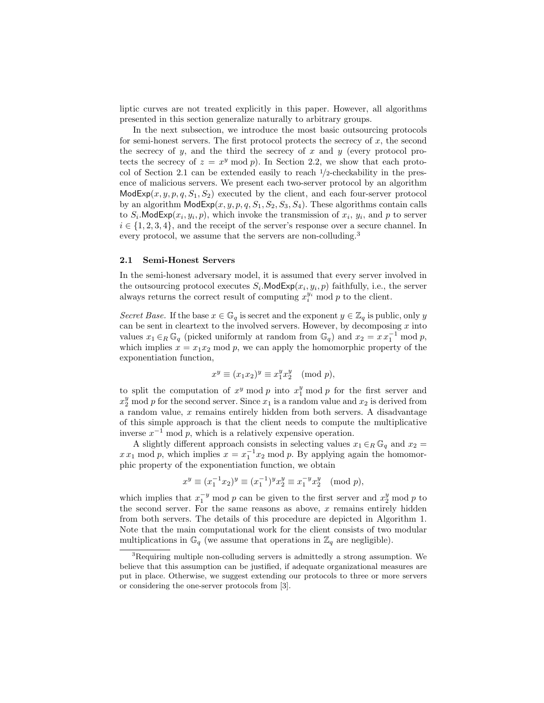liptic curves are not treated explicitly in this paper. However, all algorithms presented in this section generalize naturally to arbitrary groups.

In the next subsection, we introduce the most basic outsourcing protocols for semi-honest servers. The first protocol protects the secrecy of  $x$ , the second the secrecy of  $y$ , and the third the secrecy of  $x$  and  $y$  (every protocol protects the secrecy of  $z = x^y \mod p$ . In Section [2.2,](#page-5-2) we show that each proto-col of Section [2.1](#page-4-0) can be extended easily to reach  $\frac{1}{2}$ -checkability in the presence of malicious servers. We present each two-server protocol by an algorithm  $\mathsf{ModExp}(x, y, p, q, S_1, S_2)$  executed by the client, and each four-server protocol by an algorithm  $\textsf{ModExp}(x, y, p, q, S_1, S_2, S_3, S_4)$ . These algorithms contain calls to  $S_i$ . ModExp $(x_i, y_i, p)$ , which invoke the transmission of  $x_i, y_i$ , and p to server  $i \in \{1, 2, 3, 4\}$ , and the receipt of the server's response over a secure channel. In every protocol, we assume that the servers are non-colluding.<sup>3</sup>

#### <span id="page-4-0"></span>2.1 Semi-Honest Servers

In the semi-honest adversary model, it is assumed that every server involved in the outsourcing protocol executes  $S_i$ . Mod  $Exp(x_i, y_i, p)$  faithfully, i.e., the server always returns the correct result of computing  $x_i^{y_i}$  mod p to the client.

Secret Base. If the base  $x \in \mathbb{G}_q$  is secret and the exponent  $y \in \mathbb{Z}_q$  is public, only y can be sent in cleartext to the involved servers. However, by decomposing  $x$  into values  $x_1 \in_R \mathbb{G}_q$  (picked uniformly at random from  $\mathbb{G}_q$ ) and  $x_2 = x x_1^{-1} \mod p$ , which implies  $x = x_1x_2 \mod p$ , we can apply the homomorphic property of the exponentiation function,

$$
x^y \equiv (x_1 x_2)^y \equiv x_1^y x_2^y \pmod{p},
$$

to split the computation of  $x^y \mod p$  into  $x_1^y \mod p$  for the first server and  $x_2^y$  mod p for the second server. Since  $x_1$  is a random value and  $x_2$  is derived from a random value, x remains entirely hidden from both servers. A disadvantage of this simple approach is that the client needs to compute the multiplicative inverse  $x^{-1}$  mod p, which is a relatively expensive operation.

A slightly different approach consists in selecting values  $x_1 \in_R \mathbb{G}_q$  and  $x_2 =$  $x x_1 \mod p$ , which implies  $x = x_1^{-1} x_2 \mod p$ . By applying again the homomorphic property of the exponentiation function, we obtain

$$
x^y \equiv (x_1^{-1} x_2)^y \equiv (x_1^{-1})^y x_2^y \equiv x_1^{-y} x_2^y \pmod{p},
$$

which implies that  $x_1^{-y}$  mod p can be given to the first server and  $x_2^y$  mod p to the second server. For the same reasons as above,  $x$  remains entirely hidden from both servers. The details of this procedure are depicted in Algorithm [1.](#page-5-0) Note that the main computational work for the client consists of two modular multiplications in  $\mathbb{G}_q$  (we assume that operations in  $\mathbb{Z}_q$  are negligible).

<sup>3</sup>Requiring multiple non-colluding servers is admittedly a strong assumption. We believe that this assumption can be justified, if adequate organizational measures are put in place. Otherwise, we suggest extending our protocols to three or more servers or considering the one-server protocols from [\[3\]](#page-14-2).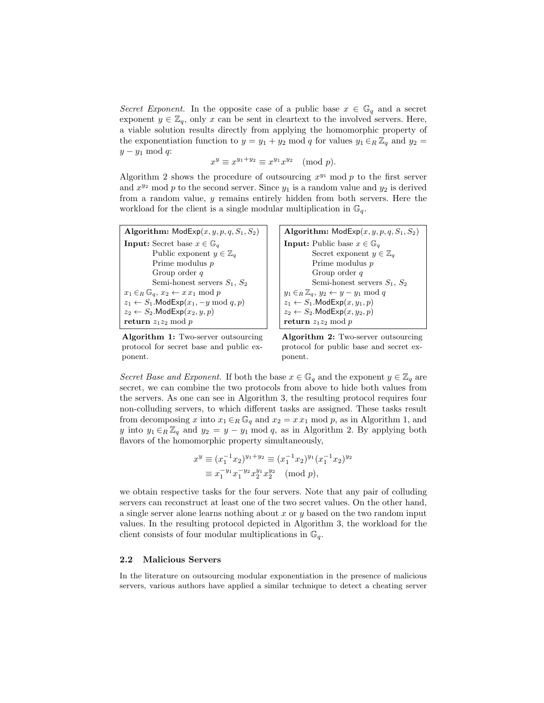Secret Exponent. In the opposite case of a public base  $x \in \mathbb{G}_q$  and a secret exponent  $y \in \mathbb{Z}_q$ , only x can be sent in cleartext to the involved servers. Here, a viable solution results directly from applying the homomorphic property of the exponentiation function to  $y = y_1 + y_2 \text{ mod } q$  for values  $y_1 \in_R \mathbb{Z}_q$  and  $y_2 =$  $y - y_1 \mod q$ :

 $x^y \equiv x^{y_1+y_2} \equiv x^{y_1}x^{y_2} \pmod{p}.$ 

Algorithm [2](#page-5-1) shows the procedure of outsourcing  $x^{y_1} \bmod p$  to the first server and  $x^{y_2}$  mod p to the second server. Since  $y_1$  is a random value and  $y_2$  is derived from a random value,  $y$  remains entirely hidden from both servers. Here the workload for the client is a single modular multiplication in  $\mathbb{G}_q$ .

```
Algorithm: ModExp(x, y, p, q, S_1, S_2)Input: Secret base x \in \mathbb{G}_qPublic exponent y \in \mathbb{Z}_qPrime modulus p
          Group order q
          Semi-honest servers S_1, S_2x_1 \in_R \mathbb{G}_q, x_2 \leftarrow x \, x_1 \mod pz_1 \leftarrow S_1.ModExp(x_1, -y \mod q, p)
z_2 \leftarrow S_2. Mod Exp(x_2, y, p)return z_1z_2 \mod p
```
<span id="page-5-0"></span>Algorithm 1: Two-server outsourcing protocol for secret base and public exponent.

Algorithm: ModExp $(x, y, p, q, S_1, S_2)$ **Input:** Public base  $x \in \mathbb{G}_q$ Secret exponent  $y \in \mathbb{Z}_q$ Prime modulus p Group order q Semi-honest servers  $S_1, S_2$  $y_1 \in_R \mathbb{Z}_q$ ,  $y_2 \leftarrow y - y_1 \mod q$  $z_1 \leftarrow S_1$ . Mod $\textsf{Exp}(x, y_1, p)$  $z_2 \leftarrow S_2$ . Mod $Exp(x, y_2, p)$ return  $z_1z_2 \bmod p$ 

<span id="page-5-1"></span>Algorithm 2: Two-server outsourcing protocol for public base and secret exponent.

Secret Base and Exponent. If both the base  $x \in \mathbb{G}_q$  and the exponent  $y \in \mathbb{Z}_q$  are secret, we can combine the two protocols from above to hide both values from the servers. As one can see in Algorithm [3,](#page-6-0) the resulting protocol requires four non-colluding servers, to which different tasks are assigned. These tasks result from decomposing x into  $x_1 \in_R \mathbb{G}_q$  and  $x_2 = x x_1 \mod p$ , as in Algorithm [1,](#page-5-0) and y into  $y_1 \in_R \mathbb{Z}_q$  and  $y_2 = y - y_1 \mod q$ , as in Algorithm [2.](#page-5-1) By applying both flavors of the homomorphic property simultaneously,

$$
x^y \equiv (x_1^{-1}x_2)^{y_1+y_2} \equiv (x_1^{-1}x_2)^{y_1}(x_1^{-1}x_2)^{y_2}
$$
  

$$
\equiv x_1^{-y_1}x_1^{-y_2}x_2^{y_1}x_2^{y_2} \pmod{p},
$$

we obtain respective tasks for the four servers. Note that any pair of colluding servers can reconstruct at least one of the two secret values. On the other hand, a single server alone learns nothing about  $x$  or  $y$  based on the two random input values. In the resulting protocol depicted in Algorithm [3,](#page-6-0) the workload for the client consists of four modular multiplications in  $\mathbb{G}_q$ .

#### <span id="page-5-2"></span>2.2 Malicious Servers

In the literature on outsourcing modular exponentiation in the presence of malicious servers, various authors have applied a similar technique to detect a cheating server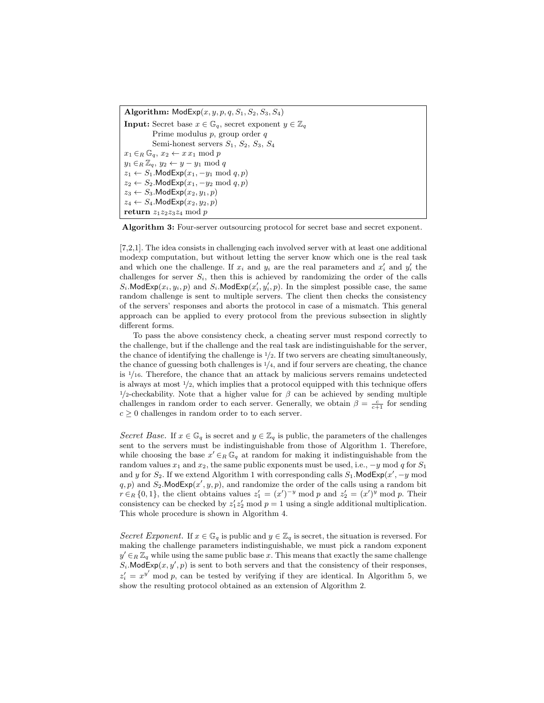```
Algorithm: \textsf{ModExp}(x, y, p, q, S_1, S_2, S_3, S_4)Input: Secret base x \in \mathbb{G}_q, secret exponent y \in \mathbb{Z}_qPrime modulus p, group order q
           Semi-honest servers S_1, S_2, S_3, S_4x_1 \in_R \mathbb{G}_q, x_2 \leftarrow x \, x_1 \mod py_1 \in_R \mathbb{Z}_q, y_2 \leftarrow y - y_1 \mod qz_1 \leftarrow S_1.ModExp(x_1, -y_1 \mod q, p)z_2 \leftarrow S_2.ModExp(x_1, -y_2 \mod q, p)z_3 \leftarrow S_3. Mod Exp(x_2, y_1, p)z_4 \leftarrow S_4. Mod Exp(x_2, y_2, p)return z_1z_2z_3z_4 \bmod p
```
<span id="page-6-0"></span>Algorithm 3: Four-server outsourcing protocol for secret base and secret exponent.

[\[7](#page-15-2)[,2,](#page-14-4)[1\]](#page-14-3). The idea consists in challenging each involved server with at least one additional modexp computation, but without letting the server know which one is the real task and which one the challenge. If  $x_i$  and  $y_i$  are the real parameters and  $x'_i$  and  $y'_i$  the challenges for server  $S_i$ , then this is achieved by randomizing the order of the calls  $S_i$ .ModExp $(x_i, y_i, p)$  and  $S_i$ .ModExp $(x'_i, y'_i, p)$ . In the simplest possible case, the same random challenge is sent to multiple servers. The client then checks the consistency of the servers' responses and aborts the protocol in case of a mismatch. This general approach can be applied to every protocol from the previous subsection in slightly different forms.

To pass the above consistency check, a cheating server must respond correctly to the challenge, but if the challenge and the real task are indistinguishable for the server, the chance of identifying the challenge is  $\frac{1}{2}$ . If two servers are cheating simultaneously, the chance of guessing both challenges is  $\frac{1}{4}$ , and if four servers are cheating, the chance is  $\frac{1}{16}$ . Therefore, the chance that an attack by malicious servers remains undetected is always at most  $1/2$ , which implies that a protocol equipped with this technique offers <sup>1</sup>/2-checkability. Note that a higher value for β can be achieved by sending multiple challenges in random order to each server. Generally, we obtain  $\beta = \frac{c}{c+1}$  for sending  $c \geq 0$  challenges in random order to to each server.

Secret Base. If  $x \in \mathbb{G}_q$  is secret and  $y \in \mathbb{Z}_q$  is public, the parameters of the challenges sent to the servers must be indistinguishable from those of Algorithm [1.](#page-5-0) Therefore, while choosing the base  $x' \in_R \mathbb{G}_q$  at random for making it indistinguishable from the random values  $x_1$  and  $x_2$ , the same public exponents must be used, i.e.,  $-y \mod q$  for  $S_1$ and y for  $S_2$ . If we extend Algorithm [1](#page-5-0) with corresponding calls  $S_1$ . ModExp(x', -y mod  $q, p$ ) and  $S_2$ .ModExp $(x', y, p)$ , and randomize the order of the calls using a random bit  $r \in_R \{0,1\}$ , the client obtains values  $z'_1 = (x')^{-y} \mod p$  and  $z'_2 = (x')^y \mod p$ . Their consistency can be checked by  $z_1' z_2' \mod p = 1$  using a single additional multiplication. This whole procedure is shown in Algorithm [4.](#page-7-1)

Secret Exponent. If  $x \in \mathbb{G}_q$  is public and  $y \in \mathbb{Z}_q$  is secret, the situation is reversed. For making the challenge parameters indistinguishable, we must pick a random exponent  $y' \in_R \mathbb{Z}_q$  while using the same public base x. This means that exactly the same challenge  $S_i$ .ModExp $(x, y', p)$  is sent to both servers and that the consistency of their responses,  $z'_{i} = x^{y'} \mod p$ , can be tested by verifying if they are identical. In Algorithm [5,](#page-7-2) we show the resulting protocol obtained as an extension of Algorithm [2.](#page-5-1)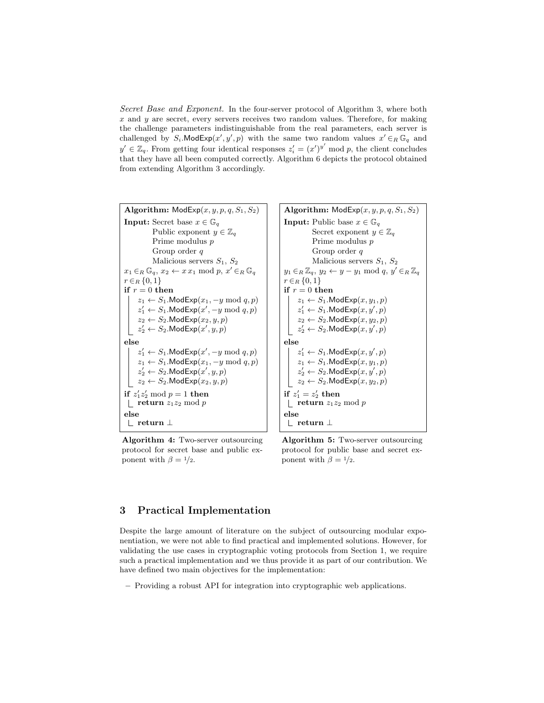Secret Base and Exponent. In the four-server protocol of Algorithm [3,](#page-6-0) where both  $x$  and  $y$  are secret, every servers receives two random values. Therefore, for making the challenge parameters indistinguishable from the real parameters, each server is challenged by  $S_i$ . Mod $Exp(x', y', p)$  with the same two random values  $x' \in_R \mathbb{G}_q$  and  $y' \in \mathbb{Z}_q$ . From getting four identical responses  $z_i' = (x')^{y'} \mod p$ , the client concludes that they have all been computed correctly. Algorithm [6](#page-8-0) depicts the protocol obtained from extending Algorithm [3](#page-6-0) accordingly.

Algorithm:  $\textsf{ModExp}(x, y, p, q, S_1, S_2)$ **Input:** Secret base  $x \in \mathbb{G}_q$ Public exponent  $y \in \mathbb{Z}_q$ Prime modulus p Group order q Malicious servers  $S_1, S_2$  $x_1 \in_R \mathbb{G}_q$ ,  $x_2 \leftarrow x \, x_1 \mod p$ ,  $x' \in_R \mathbb{G}_q$  $r \in_R \{0, 1\}$ if  $r = 0$  then  $z_1$  ← S<sub>1</sub>.ModExp( $x_1, -y \mod q, p$ )  $z'_1 \leftarrow S_1$ . Mod $\textsf{Exp}(x', -y \mod q, p)$  $z_2 \leftarrow S_2$ . Mod $\text{Exp}(x_2, y, p)$  $z_2' \leftarrow S_2.\mathsf{ModExp}(x',y,p)$ else  $z'_1 \leftarrow S_1$ . Mod $\textsf{Exp}(x', -y \mod q, p)$  $z_1$  ← S<sub>1</sub>.ModExp( $x_1, -y \mod q, p$ )  $z_2' \leftarrow S_2$ . Mod $Exp(x', y, p)$  $z_2 \leftarrow S_2$ . Mod $\textsf{Exp}(x_2, y, p)$ if  $z_1'z_2' \bmod p = 1$  then | return  $z_1z_2 \mod p$ else return ⊥

<span id="page-7-1"></span>Algorithm 4: Two-server outsourcing protocol for secret base and public exponent with  $\beta = \frac{1}{2}$ .

Algorithm:  $\textsf{ModExp}(x, y, p, q, S_1, S_2)$ **Input:** Public base  $x \in \mathbb{G}_q$ Secret exponent  $y \in \mathbb{Z}_q$ Prime modulus p Group order q Malicious servers  $S_1, S_2$  $y_1 \in_R \mathbb{Z}_q$ ,  $y_2 \leftarrow y - y_1 \mod q$ ,  $y' \in_R \mathbb{Z}_q$  $r \in_R \{0, 1\}$ if  $r = 0$  then  $z_1 \leftarrow S_1$ . Mod $Exp(x, y_1, p)$  $z'_1 \leftarrow S_1.\mathsf{ModExp}(x, y', p)$  $z_2 \leftarrow S_2$ . Mod $Exp(x, y_2, p)$  $z_2' \leftarrow S_2$ . Mod $\textsf{Exp}(x, y', p)$ else  $z'_1 \leftarrow S_1.\mathsf{ModExp}(x, y', p)$  $z_1 \leftarrow S_1$ . Mod $\textsf{Exp}(x, y_1, p)$  $z_2' \leftarrow S_2$ . Mod $\textsf{Exp}(x, y', p)$  $| z_2 \leftarrow S_2$ . Mod $Exp(x, y_2, p)$ if  $z'_1 = z'_2$  then  $\lfloor$  return  $z_1z_2 \bmod p$ else return ⊥

<span id="page-7-2"></span>Algorithm 5: Two-server outsourcing protocol for public base and secret exponent with  $\beta = \frac{1}{2}$ .

## <span id="page-7-0"></span>3 Practical Implementation

Despite the large amount of literature on the subject of outsourcing modular exponentiation, we were not able to find practical and implemented solutions. However, for validating the use cases in cryptographic voting protocols from Section [1,](#page-0-0) we require such a practical implementation and we thus provide it as part of our contribution. We have defined two main objectives for the implementation:

– Providing a robust API for integration into cryptographic web applications.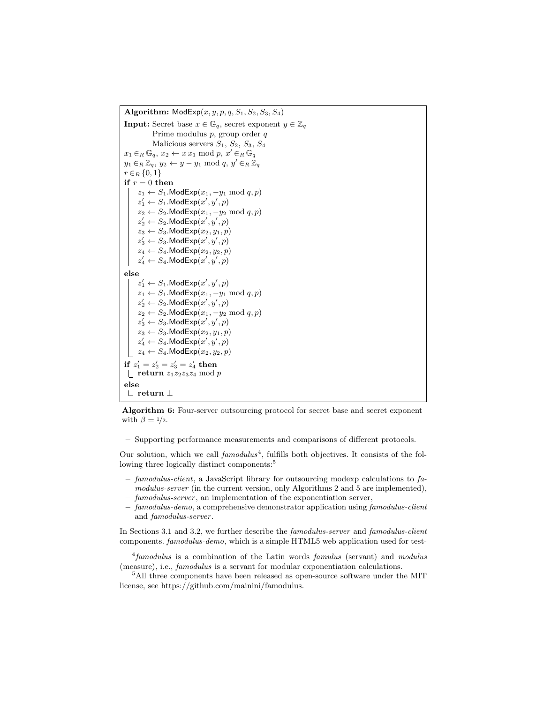```
Algorithm: \textsf{ModExp}(x, y, p, q, S_1, S_2, S_3, S_4)Input: Secret base x \in \mathbb{G}_q, secret exponent y \in \mathbb{Z}_qPrime modulus p, group order q
            Malicious servers S_1, S_2, S_3, S_4x_1 \in_R \mathbb{G}_q, x_2 \leftarrow x \, x_1 \mod p, x' \in_R \mathbb{G}_qy_1 \in_R \mathbb{Z}_q, y_2 \leftarrow y - y_1 \mod q, y' \in_R \mathbb{Z}_qr \in_R \{0, 1\}if r = 0 then
     z_1 ← S<sub>1</sub>.ModExp(x_1, -y_1 \mod q, p)
      z'_1 \leftarrow S_1.\mathsf{ModExp}(x',y',p)z_2 ← S<sub>2</sub>.ModExp(x_1, -y_2 \mod q, p)
      z_2' \leftarrow S_2. Mod\textsf{Exp}(x', y', p)z_3 \leftarrow S_3. ModExp(x_2, y_1, p)z'_3 \leftarrow S_3.\mathsf{ModExp}(x',y',p)z_4 \leftarrow S_4. Mod\textsf{Exp}(x_2, y_2, p)z'_4 \leftarrow S_4.\mathsf{ModExp}(x',y',p)else
      z'_1 \leftarrow S_1.\mathsf{ModExp}(x',y',p)z_1 \leftarrow S_1.ModExp(x_1, -y_1 \mod q, p)z_2' \leftarrow S_2. Mod\textsf{Exp}(x', y', p)z_2 \leftarrow S_2.ModExp(x_1, -y_2 \mod q, p)
      z'_3 \leftarrow S_3.\mathsf{ModExp}(x',y',p)z_3 \leftarrow S_3. ModExp(x_2, y_1, p)z'_4 \leftarrow S_4.\mathsf{ModExp}(x',y',p)z_4 \leftarrow S_4.\mathsf{ModExp}(x_2,y_2,p)if z'_1 = z'_2 = z'_3 = z'_4 then
 \lfloor return z_1z_2z_3z_4 \bmod pelse
 return ⊥
```
<span id="page-8-0"></span>Algorithm 6: Four-server outsourcing protocol for secret base and secret exponent with  $\beta = \frac{1}{2}$ .

– Supporting performance measurements and comparisons of different protocols.

Our solution, which we call  $famodulus<sup>4</sup>$ , fulfills both objectives. It consists of the following three logically distinct components:<sup>5</sup>

- famodulus-client, a JavaScript library for outsourcing modexp calculations to fa-modulus-server (in the current version, only Algorithms [2](#page-5-1) and [5](#page-7-2) are implemented), – famodulus-server , an implementation of the exponentiation server,
- famodulus-demo, a comprehensive demonstrator application using famodulus-client and famodulus-server .

In Sections [3.1](#page-9-0) and [3.2,](#page-10-0) we further describe the famodulus-server and famodulus-client components. famodulus-demo, which is a simple HTML5 web application used for test-

<sup>&</sup>lt;sup>4</sup>famodulus is a combination of the Latin words famulus (servant) and modulus (measure), i.e., famodulus is a servant for modular exponentiation calculations.

<sup>5</sup>All three components have been released as open-source software under the MIT license, see [https://github.com/mainini/famodulus.](https://github.com/mainini/famodulus)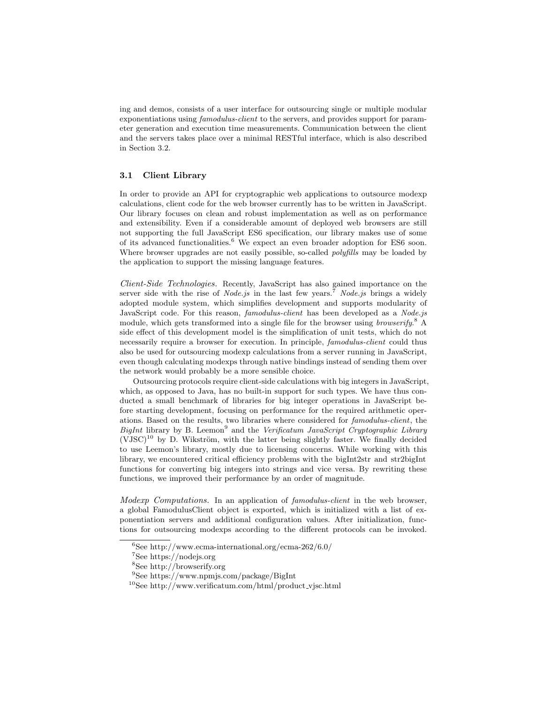ing and demos, consists of a user interface for outsourcing single or multiple modular exponentiations using *famodulus-client* to the servers, and provides support for parameter generation and execution time measurements. Communication between the client and the servers takes place over a minimal RESTful interface, which is also described in Section [3.2.](#page-10-0)

#### <span id="page-9-0"></span>3.1 Client Library

In order to provide an API for cryptographic web applications to outsource modexp calculations, client code for the web browser currently has to be written in JavaScript. Our library focuses on clean and robust implementation as well as on performance and extensibility. Even if a considerable amount of deployed web browsers are still not supporting the full JavaScript ES6 specification, our library makes use of some of its advanced functionalities.<sup>6</sup> We expect an even broader adoption for ES6 soon. Where browser upgrades are not easily possible, so-called *polyfills* may be loaded by the application to support the missing language features.

Client-Side Technologies. Recently, JavaScript has also gained importance on the server side with the rise of *Node.js* in the last few years.<sup>7</sup> Node.js brings a widely adopted module system, which simplifies development and supports modularity of JavaScript code. For this reason, *famodulus-client* has been developed as a *Node.js* module, which gets transformed into a single file for the browser using *browserify*.<sup>8</sup> A side effect of this development model is the simplification of unit tests, which do not necessarily require a browser for execution. In principle, famodulus-client could thus also be used for outsourcing modexp calculations from a server running in JavaScript, even though calculating modexps through native bindings instead of sending them over the network would probably be a more sensible choice.

Outsourcing protocols require client-side calculations with big integers in JavaScript, which, as opposed to Java, has no built-in support for such types. We have thus conducted a small benchmark of libraries for big integer operations in JavaScript before starting development, focusing on performance for the required arithmetic operations. Based on the results, two libraries where considered for famodulus-client, the BigInt library by B. Leemon<sup>9</sup> and the Verificatum JavaScript Cryptographic Library  $(VJSC)^{10}$  by D. Wikström, with the latter being slightly faster. We finally decided to use Leemon's library, mostly due to licensing concerns. While working with this library, we encountered critical efficiency problems with the bigInt2str and str2bigInt functions for converting big integers into strings and vice versa. By rewriting these functions, we improved their performance by an order of magnitude.

Modexp Computations. In an application of famodulus-client in the web browser, a global FamodulusClient object is exported, which is initialized with a list of exponentiation servers and additional configuration values. After initialization, functions for outsourcing modexps according to the different protocols can be invoked.

 ${}^{6}$ See<http://www.ecma-international.org/ecma-262/6.0/>

<sup>7</sup>See<https://nodejs.org>

<sup>8</sup>See<http://browserify.org>

<sup>9</sup>See<https://www.npmjs.com/package/BigInt>

 $10$ See [http://www.verificatum.com/html/product](http://www.verificatum.com/html/product_vjsc.html)\_vjsc.html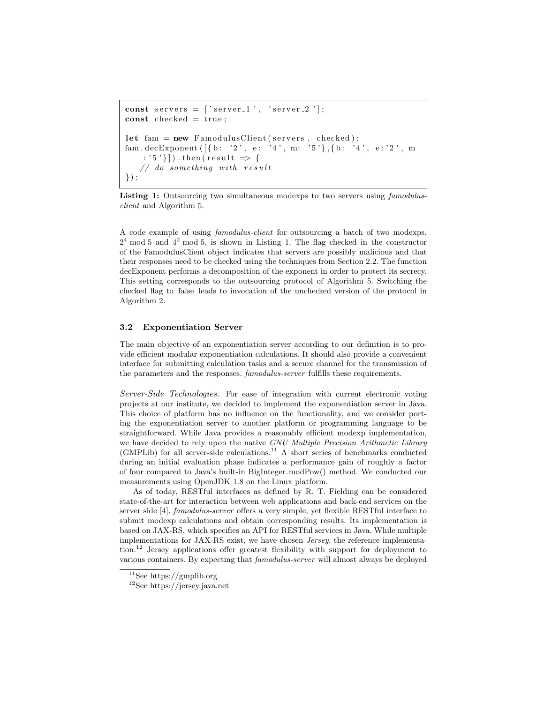```
const servers = \left[ 'server_1 ', 'server_2 '];
const checked = true;
let fam = new FamodulusClient (servers, checked);
fam.decExponent (\{\{\mathbf{b}: '2', e: '4', m: '5'\}, \{\mathbf{b}: '4', e: '2', m\}: '5'} ) . then (result \Rightarrow {
   // do something with result\}) ;
```
Listing 1: Outsourcing two simultaneous modexps to two servers using *famodulus*client and Algorithm [5.](#page-7-2)

A code example of using famodulus-client for outsourcing a batch of two modexps,  $2<sup>4</sup>$  mod 5 and  $4<sup>2</sup>$  mod 5, is shown in Listing [1.](#page-10-1) The flag checked in the constructor of the FamodulusClient object indicates that servers are possibly malicious and that their responses need to be checked using the techniques from Section [2.2.](#page-5-2) The function decExponent performs a decomposition of the exponent in order to protect its secrecy. This setting corresponds to the outsourcing protocol of Algorithm [5.](#page-7-2) Switching the checked flag to false leads to invocation of the unchecked version of the protocol in Algorithm [2.](#page-5-1)

#### <span id="page-10-0"></span>3.2 Exponentiation Server

The main objective of an exponentiation server according to our definition is to provide efficient modular exponentiation calculations. It should also provide a convenient interface for submitting calculation tasks and a secure channel for the transmission of the parameters and the responses. famodulus-server fulfills these requirements.

Server-Side Technologies. For ease of integration with current electronic voting projects at our institute, we decided to implement the exponentiation server in Java. This choice of platform has no influence on the functionality, and we consider porting the exponentiation server to another platform or programming language to be straightforward. While Java provides a reasonably efficient modexp implementation, we have decided to rely upon the native GNU Multiple Precision Arithmetic Library (GMPLib) for all server-side calculations.<sup>11</sup> A short series of benchmarks conducted during an initial evaluation phase indicates a performance gain of roughly a factor of four compared to Java's built-in BigInteger.modPow() method. We conducted our measurements using OpenJDK 1.8 on the Linux platform.

As of today, RESTful interfaces as defined by R. T. Fielding can be considered state-of-the-art for interaction between web applications and back-end services on the server side [\[4\]](#page-14-5). famodulus-server offers a very simple, yet flexible RESTful interface to submit modexp calculations and obtain corresponding results. Its implementation is based on JAX-RS, which specifies an API for RESTful services in Java. While multiple implementations for JAX-RS exist, we have chosen Jersey, the reference implementation.<sup>12</sup> Jersey applications offer greatest flexibility with support for deployment to various containers. By expecting that famodulus-server will almost always be deployed

 $\rm{^{11}See}$ https://gmplib.org

<sup>12</sup>See<https://jersey.java.net>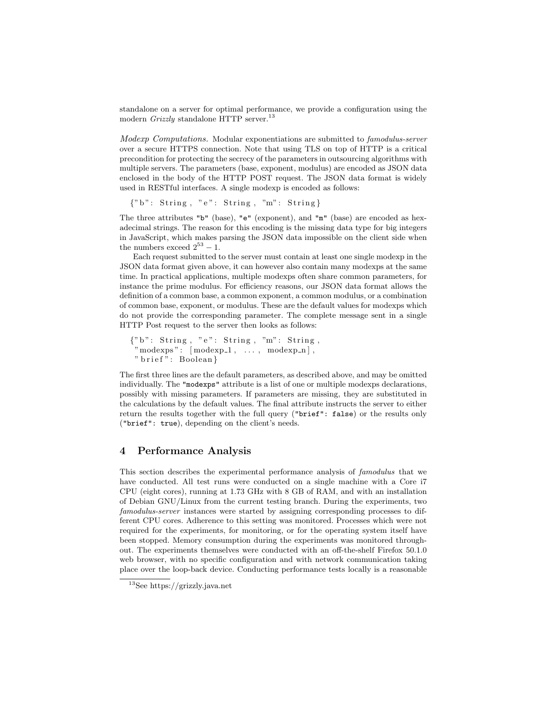standalone on a server for optimal performance, we provide a configuration using the modern  $Grizzly$  standalone HTTP server.<sup>13</sup>

Modexp Computations. Modular exponentiations are submitted to famodulus-server over a secure HTTPS connection. Note that using TLS on top of HTTP is a critical precondition for protecting the secrecy of the parameters in outsourcing algorithms with multiple servers. The parameters (base, exponent, modulus) are encoded as JSON data enclosed in the body of the HTTP POST request. The JSON data format is widely used in RESTful interfaces. A single modexp is encoded as follows:

 ${"\,b" :$  String, "e": String, "m": String}

The three attributes "b" (base), "e" (exponent), and "m" (base) are encoded as hexadecimal strings. The reason for this encoding is the missing data type for big integers in JavaScript, which makes parsing the JSON data impossible on the client side when the numbers exceed  $2^{53} - 1$ .

Each request submitted to the server must contain at least one single modexp in the JSON data format given above, it can however also contain many modexps at the same time. In practical applications, multiple modexps often share common parameters, for instance the prime modulus. For efficiency reasons, our JSON data format allows the definition of a common base, a common exponent, a common modulus, or a combination of common base, exponent, or modulus. These are the default values for modexps which do not provide the corresponding parameter. The complete message sent in a single HTTP Post request to the server then looks as follows:

 $\{ "b" : String, "e": String, "m": String,$  $"\text{modexps}": [\text{modexp.1}, \ldots, \text{modexp.n}],$ " brief": Boolean }

The first three lines are the default parameters, as described above, and may be omitted individually. The "modexps" attribute is a list of one or multiple modexps declarations, possibly with missing parameters. If parameters are missing, they are substituted in the calculations by the default values. The final attribute instructs the server to either return the results together with the full query ("brief": false) or the results only ("brief": true), depending on the client's needs.

## <span id="page-11-0"></span>4 Performance Analysis

This section describes the experimental performance analysis of famodulus that we have conducted. All test runs were conducted on a single machine with a Core i7 CPU (eight cores), running at 1.73 GHz with 8 GB of RAM, and with an installation of Debian GNU/Linux from the current testing branch. During the experiments, two famodulus-server instances were started by assigning corresponding processes to different CPU cores. Adherence to this setting was monitored. Processes which were not required for the experiments, for monitoring, or for the operating system itself have been stopped. Memory consumption during the experiments was monitored throughout. The experiments themselves were conducted with an off-the-shelf Firefox 50.1.0 web browser, with no specific configuration and with network communication taking place over the loop-back device. Conducting performance tests locally is a reasonable

<sup>13</sup>See<https://grizzly.java.net>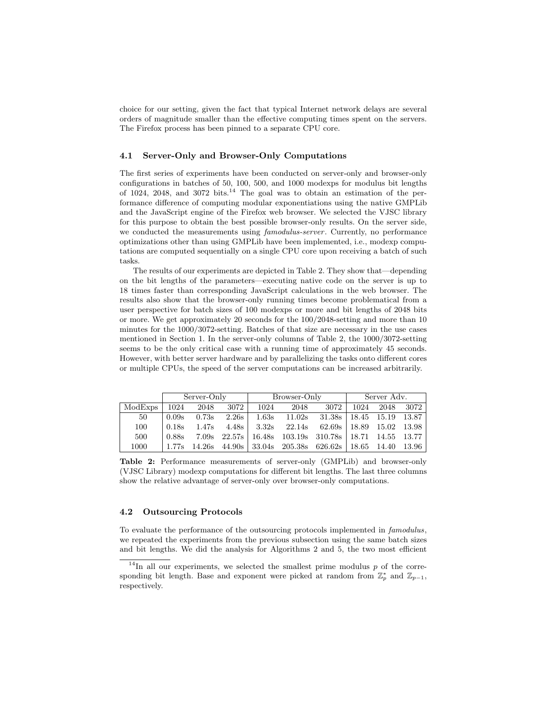choice for our setting, given the fact that typical Internet network delays are several orders of magnitude smaller than the effective computing times spent on the servers. The Firefox process has been pinned to a separate CPU core.

#### 4.1 Server-Only and Browser-Only Computations

The first series of experiments have been conducted on server-only and browser-only configurations in batches of 50, 100, 500, and 1000 modexps for modulus bit lengths of 1024, 2048, and 3072 bits. $14$  The goal was to obtain an estimation of the performance difference of computing modular exponentiations using the native GMPLib and the JavaScript engine of the Firefox web browser. We selected the VJSC library for this purpose to obtain the best possible browser-only results. On the server side, we conducted the measurements using *famodulus-server*. Currently, no performance optimizations other than using GMPLib have been implemented, i.e., modexp computations are computed sequentially on a single CPU core upon receiving a batch of such tasks.

The results of our experiments are depicted in Table [2.](#page-12-0) They show that—depending on the bit lengths of the parameters—executing native code on the server is up to 18 times faster than corresponding JavaScript calculations in the web browser. The results also show that the browser-only running times become problematical from a user perspective for batch sizes of 100 modexps or more and bit lengths of 2048 bits or more. We get approximately 20 seconds for the 100/2048-setting and more than 10 minutes for the 1000/3072-setting. Batches of that size are necessary in the use cases mentioned in Section [1.](#page-0-0) In the server-only columns of Table [2,](#page-12-0) the 1000/3072-setting seems to be the only critical case with a running time of approximately 45 seconds. However, with better server hardware and by parallelizing the tasks onto different cores or multiple CPUs, the speed of the server computations can be increased arbitrarily.

<span id="page-12-0"></span>

|                                   |              | Server-Only |      | Browser-Only | Server Adv.                                                                                                     |  |  |  |
|-----------------------------------|--------------|-------------|------|--------------|-----------------------------------------------------------------------------------------------------------------|--|--|--|
| $\text{ModExps}$   1024 2048 3072 |              |             | 1024 |              | 2048 3072 1024 2048 3072                                                                                        |  |  |  |
| 50                                |              |             |      |              | $\vert 0.09s \quad 0.73s \quad 2.26s \vert 1.63s \quad 11.02s \quad 31.38s \vert 18.45 \quad 15.19 \quad 13.87$ |  |  |  |
| 100                               | $\pm 0.18$ s |             |      |              | $1.47s$ $4.48s$ $3.32s$ $22.14s$ $62.69s$ $18.89$ $15.02$ $13.98$                                               |  |  |  |
| 500                               | 0.88s        |             |      |              | 7.09s 22.57s   16.48s 103.19s 310.78s   18.71 14.55 13.77                                                       |  |  |  |
| 1000                              |              |             |      |              | $1.77s$ $14.26s$ $44.90s$ $33.04s$ $205.38s$ $626.62s$ $18.65$ $14.40$ $13.96$                                  |  |  |  |

Table 2: Performance measurements of server-only (GMPLib) and browser-only (VJSC Library) modexp computations for different bit lengths. The last three columns show the relative advantage of server-only over browser-only computations.

#### 4.2 Outsourcing Protocols

To evaluate the performance of the outsourcing protocols implemented in famodulus, we repeated the experiments from the previous subsection using the same batch sizes and bit lengths. We did the analysis for Algorithms [2](#page-5-1) and [5,](#page-7-2) the two most efficient

 $14$ In all our experiments, we selected the smallest prime modulus  $p$  of the corresponding bit length. Base and exponent were picked at random from  $\mathbb{Z}_p^*$  and  $\mathbb{Z}_{p-1}$ , respectively.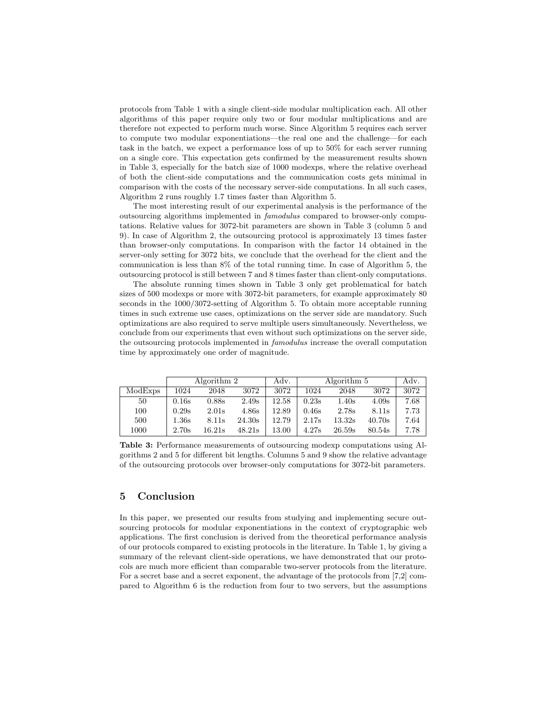protocols from Table [1](#page-3-1) with a single client-side modular multiplication each. All other algorithms of this paper require only two or four modular multiplications and are therefore not expected to perform much worse. Since Algorithm [5](#page-7-2) requires each server to compute two modular exponentiations—the real one and the challenge—for each task in the batch, we expect a performance loss of up to 50% for each server running on a single core. This expectation gets confirmed by the measurement results shown in Table [3,](#page-13-1) especially for the batch size of 1000 modexps, where the relative overhead of both the client-side computations and the communication costs gets minimal in comparison with the costs of the necessary server-side computations. In all such cases, Algorithm [2](#page-5-1) runs roughly 1.7 times faster than Algorithm [5.](#page-7-2)

The most interesting result of our experimental analysis is the performance of the outsourcing algorithms implemented in famodulus compared to browser-only computations. Relative values for 3072-bit parameters are shown in Table [3](#page-13-1) (column 5 and 9). In case of Algorithm [2,](#page-5-1) the outsourcing protocol is approximately 13 times faster than browser-only computations. In comparison with the factor 14 obtained in the server-only setting for 3072 bits, we conclude that the overhead for the client and the communication is less than 8% of the total running time. In case of Algorithm [5,](#page-7-2) the outsourcing protocol is still between 7 and 8 times faster than client-only computations.

The absolute running times shown in Table [3](#page-13-1) only get problematical for batch sizes of 500 modexps or more with 3072-bit parameters, for example approximately 80 seconds in the 1000/3072-setting of Algorithm [5.](#page-7-2) To obtain more acceptable running times in such extreme use cases, optimizations on the server side are mandatory. Such optimizations are also required to serve multiple users simultaneously. Nevertheless, we conclude from our experiments that even without such optimizations on the server side, the outsourcing protocols implemented in famodulus increase the overall computation time by approximately one order of magnitude.

<span id="page-13-1"></span>

|         | Algorithm 2 |        |        | Adv.  | Algorithm 5 | Adv.   |        |      |
|---------|-------------|--------|--------|-------|-------------|--------|--------|------|
| ModExps | 1024        | 2048   | 3072   | 3072  | 1024        | 2048   | 3072   | 3072 |
| 50      | 0.16s       | 0.88s  | 2.49s  | 12.58 | 0.23s       | 1.40s  | 4.09s  | 7.68 |
| 100     | 0.29s       | 2.01s  | 4.86s  | 12.89 | 0.46s       | 2.78s  | 8.11s  | 7.73 |
| 500     | 1.36s       | 8.11s  | 24.30s | 12.79 | 2.17s       | 13.32s | 40.70s | 7.64 |
| 1000    | 2.70s       | 16.21s | 48.21s | 13.00 | 4.27s       | 26.59s | 80.54s | 7.78 |

Table 3: Performance measurements of outsourcing modexp computations using Algorithms [2](#page-5-1) and [5](#page-7-2) for different bit lengths. Columns 5 and 9 show the relative advantage of the outsourcing protocols over browser-only computations for 3072-bit parameters.

## <span id="page-13-0"></span>5 Conclusion

In this paper, we presented our results from studying and implementing secure outsourcing protocols for modular exponentiations in the context of cryptographic web applications. The first conclusion is derived from the theoretical performance analysis of our protocols compared to existing protocols in the literature. In Table [1,](#page-3-1) by giving a summary of the relevant client-side operations, we have demonstrated that our protocols are much more efficient than comparable two-server protocols from the literature. For a secret base and a secret exponent, the advantage of the protocols from [\[7,](#page-15-2)[2\]](#page-14-4) compared to Algorithm [6](#page-8-0) is the reduction from four to two servers, but the assumptions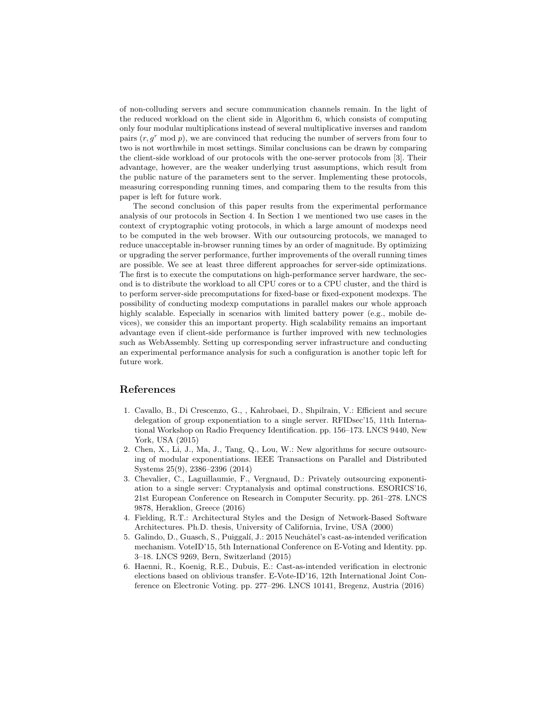of non-colluding servers and secure communication channels remain. In the light of the reduced workload on the client side in Algorithm [6,](#page-8-0) which consists of computing only four modular multiplications instead of several multiplicative inverses and random pairs  $(r, g<sup>r</sup> \mod p)$ , we are convinced that reducing the number of servers from four to two is not worthwhile in most settings. Similar conclusions can be drawn by comparing the client-side workload of our protocols with the one-server protocols from [\[3\]](#page-14-2). Their advantage, however, are the weaker underlying trust assumptions, which result from the public nature of the parameters sent to the server. Implementing these protocols, measuring corresponding running times, and comparing them to the results from this paper is left for future work.

The second conclusion of this paper results from the experimental performance analysis of our protocols in Section [4.](#page-11-0) In Section [1](#page-0-0) we mentioned two use cases in the context of cryptographic voting protocols, in which a large amount of modexps need to be computed in the web browser. With our outsourcing protocols, we managed to reduce unacceptable in-browser running times by an order of magnitude. By optimizing or upgrading the server performance, further improvements of the overall running times are possible. We see at least three different approaches for server-side optimizations. The first is to execute the computations on high-performance server hardware, the second is to distribute the workload to all CPU cores or to a CPU cluster, and the third is to perform server-side precomputations for fixed-base or fixed-exponent modexps. The possibility of conducting modexp computations in parallel makes our whole approach highly scalable. Especially in scenarios with limited battery power (e.g., mobile devices), we consider this an important property. High scalability remains an important advantage even if client-side performance is further improved with new technologies such as WebAssembly. Setting up corresponding server infrastructure and conducting an experimental performance analysis for such a configuration is another topic left for future work.

### References

- <span id="page-14-3"></span>1. Cavallo, B., Di Crescenzo, G., , Kahrobaei, D., Shpilrain, V.: Efficient and secure delegation of group exponentiation to a single server. RFIDsec'15, 11th International Workshop on Radio Frequency Identification. pp. 156–173. LNCS 9440, New York, USA (2015)
- <span id="page-14-4"></span>2. Chen, X., Li, J., Ma, J., Tang, Q., Lou, W.: New algorithms for secure outsourcing of modular exponentiations. IEEE Transactions on Parallel and Distributed Systems 25(9), 2386–2396 (2014)
- <span id="page-14-2"></span>3. Chevalier, C., Laguillaumie, F., Vergnaud, D.: Privately outsourcing exponentiation to a single server: Cryptanalysis and optimal constructions. ESORICS'16, 21st European Conference on Research in Computer Security. pp. 261–278. LNCS 9878, Heraklion, Greece (2016)
- <span id="page-14-5"></span>4. Fielding, R.T.: Architectural Styles and the Design of Network-Based Software Architectures. Ph.D. thesis, University of California, Irvine, USA (2000)
- <span id="page-14-0"></span>5. Galindo, D., Guasch, S., Puiggalí, J.: 2015 Neuchâtel's cast-as-intended verification mechanism. VoteID'15, 5th International Conference on E-Voting and Identity. pp. 3–18. LNCS 9269, Bern, Switzerland (2015)
- <span id="page-14-1"></span>6. Haenni, R., Koenig, R.E., Dubuis, E.: Cast-as-intended verification in electronic elections based on oblivious transfer. E-Vote-ID'16, 12th International Joint Conference on Electronic Voting. pp. 277–296. LNCS 10141, Bregenz, Austria (2016)